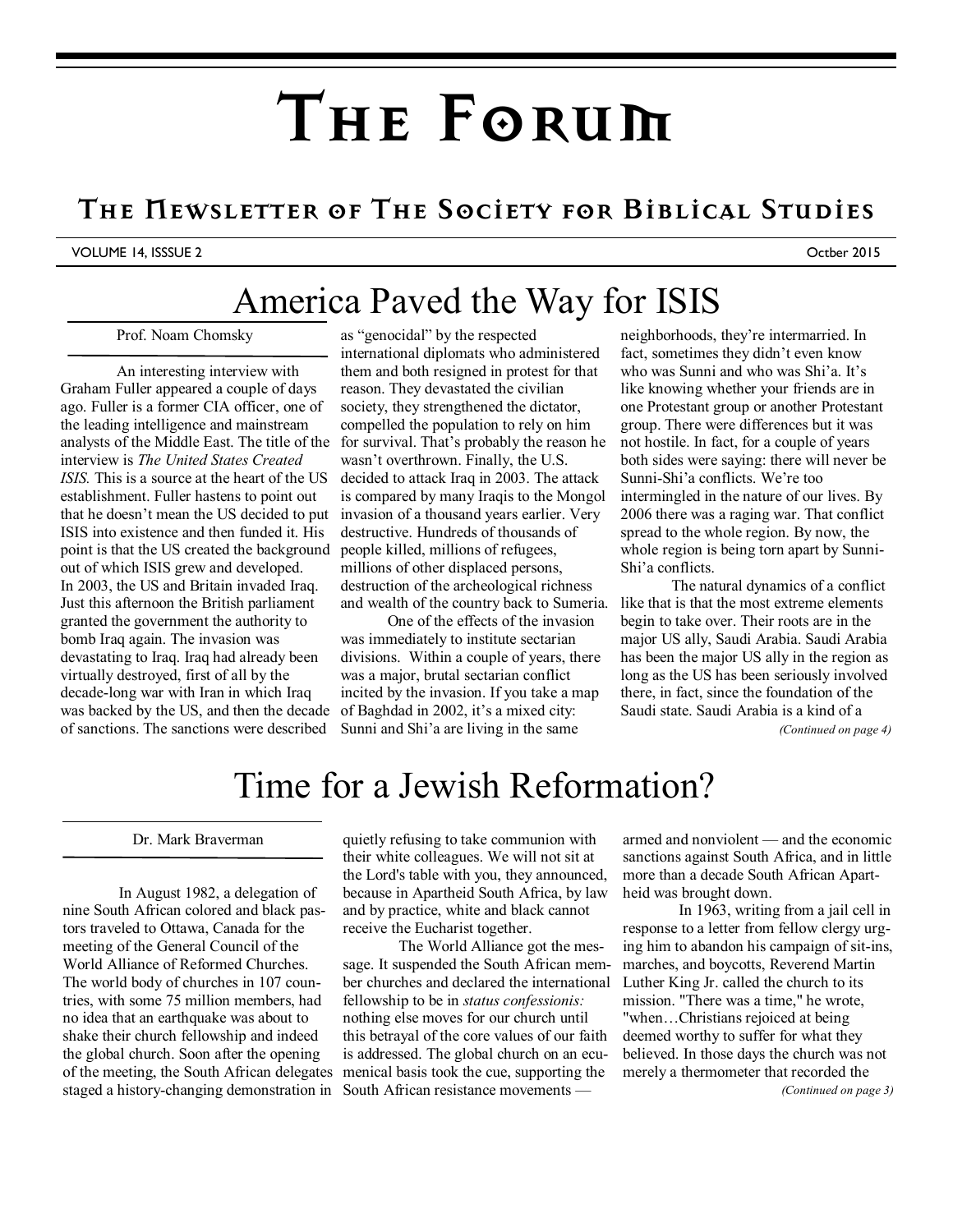# **The Forum**

## **The Newsletter of The Society for Biblical Studies**

VOLUME 14, ISSSUE 2 Octber 2015

# America Paved the Way for ISIS

Prof. Noam Chomsky

An interesting interview with Graham Fuller appeared a couple of days ago. Fuller is a former CIA officer, one of the leading intelligence and mainstream analysts of the Middle East. The title of the interview is *The United States Created ISIS.* This is a source at the heart of the US establishment. Fuller hastens to point out that he doesn't mean the US decided to put ISIS into existence and then funded it. His point is that the US created the background out of which ISIS grew and developed. In 2003, the US and Britain invaded Iraq. Just this afternoon the British parliament granted the government the authority to bomb Iraq again. The invasion was devastating to Iraq. Iraq had already been virtually destroyed, first of all by the decade-long war with Iran in which Iraq was backed by the US, and then the decade of sanctions. The sanctions were described

as "genocidal" by the respected international diplomats who administered them and both resigned in protest for that reason. They devastated the civilian society, they strengthened the dictator, compelled the population to rely on him for survival. That's probably the reason he wasn't overthrown. Finally, the U.S. decided to attack Iraq in 2003. The attack is compared by many Iraqis to the Mongol invasion of a thousand years earlier. Very destructive. Hundreds of thousands of people killed, millions of refugees, millions of other displaced persons, destruction of the archeological richness and wealth of the country back to Sumeria.

 One of the effects of the invasion was immediately to institute sectarian divisions. Within a couple of years, there was a major, brutal sectarian conflict incited by the invasion. If you take a map of Baghdad in 2002, it's a mixed city: Sunni and Shi'a are living in the same

neighborhoods, they're intermarried. In fact, sometimes they didn't even know who was Sunni and who was Shi'a. It's like knowing whether your friends are in one Protestant group or another Protestant group. There were differences but it was not hostile. In fact, for a couple of years both sides were saying: there will never be Sunni-Shi'a conflicts. We're too intermingled in the nature of our lives. By 2006 there was a raging war. That conflict spread to the whole region. By now, the whole region is being torn apart by Sunni-Shi'a conflicts.

 The natural dynamics of a conflict like that is that the most extreme elements begin to take over. Their roots are in the major US ally, Saudi Arabia. Saudi Arabia has been the major US ally in the region as long as the US has been seriously involved there, in fact, since the foundation of the Saudi state. Saudi Arabia is a kind of a *(Continued on page 4)* 

## Time for a Jewish Reformation?

#### Dr. Mark Braverman

 In August 1982, a delegation of nine South African colored and black pastors traveled to Ottawa, Canada for the meeting of the General Council of the World Alliance of Reformed Churches. The world body of churches in 107 countries, with some 75 million members, had no idea that an earthquake was about to shake their church fellowship and indeed the global church. Soon after the opening of the meeting, the South African delegates staged a history-changing demonstration in South African resistance movements —

quietly refusing to take communion with their white colleagues. We will not sit at the Lord's table with you, they announced, because in Apartheid South Africa, by law and by practice, white and black cannot receive the Eucharist together.

 The World Alliance got the message. It suspended the South African member churches and declared the international fellowship to be in *status confessionis:*  nothing else moves for our church until this betrayal of the core values of our faith is addressed. The global church on an ecumenical basis took the cue, supporting the

armed and nonviolent — and the economic sanctions against South Africa, and in little more than a decade South African Apartheid was brought down.

 In 1963, writing from a jail cell in response to a letter from fellow clergy urging him to abandon his campaign of sit-ins, marches, and boycotts, Reverend Martin Luther King Jr. called the church to its mission. "There was a time," he wrote, "when…Christians rejoiced at being deemed worthy to suffer for what they believed. In those days the church was not merely a thermometer that recorded the *(Continued on page 3)*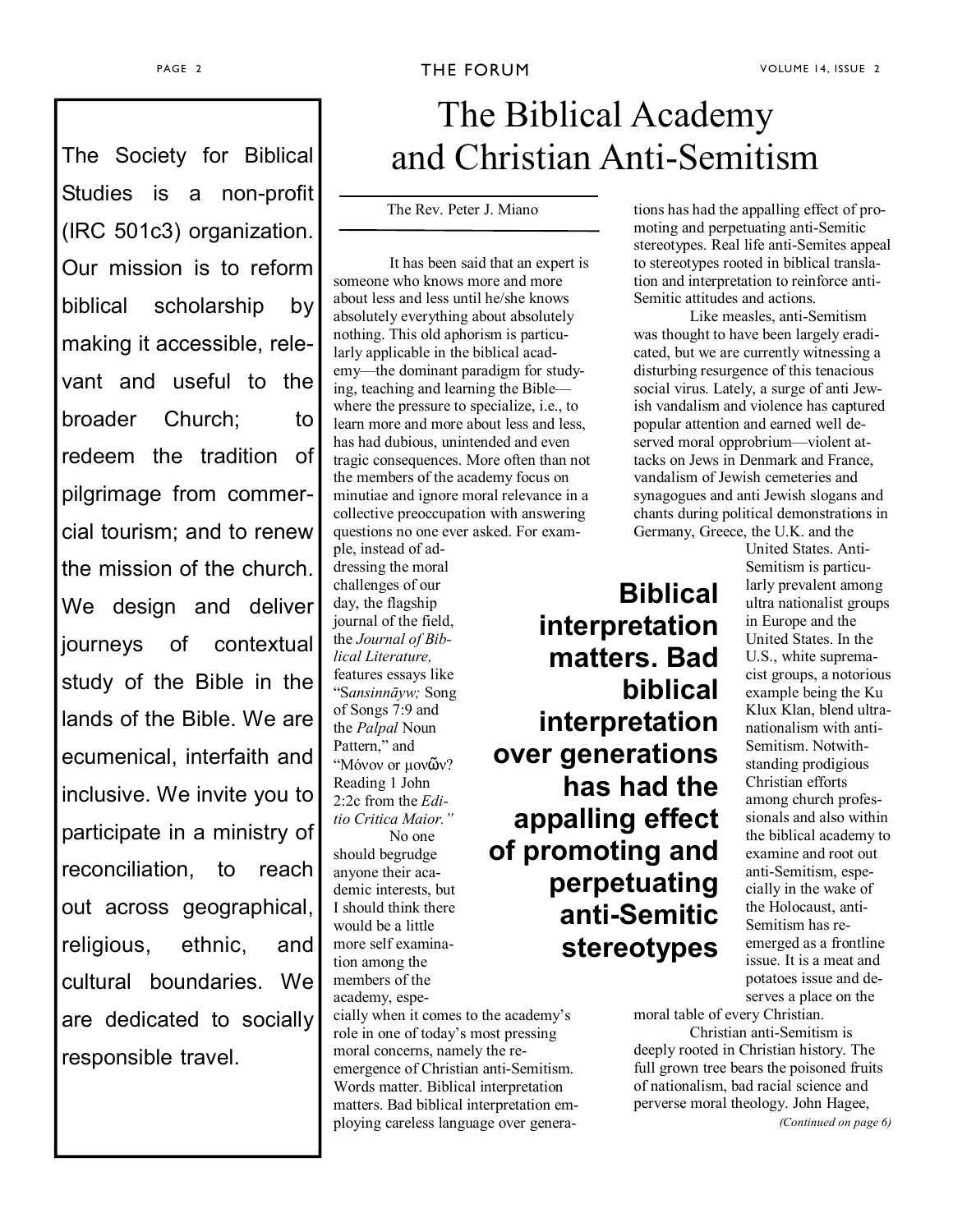Studies is a non-profit (IRC 501c3) organization. Our mission is to reform biblical scholarship by making it accessible, relevant and useful to the broader Church; to redeem the tradition of pilgrimage from commercial tourism; and to renew the mission of the church. We design and deliver journeys of contextual study of the Bible in the lands of the Bible. We are ecumenical, interfaith and inclusive. We invite you to participate in a ministry of reconciliation, to reach out across geographical, religious, ethnic, and cultural boundaries. We are dedicated to socially responsible travel.

the renewal of a vigorous

# The Biblical Academy The Society for Biblical and Christian Anti-Semitism

The Rev. Peter J. Miano

It has been said that an expert is someone who knows more and more about less and less until he/she knows absolutely everything about absolutely nothing. This old aphorism is particularly applicable in the biblical academy—the dominant paradigm for studying, teaching and learning the Bible where the pressure to specialize, i.e., to learn more and more about less and less, has had dubious, unintended and even tragic consequences. More often than not the members of the academy focus on minutiae and ignore moral relevance in a collective preoccupation with answering questions no one ever asked. For exam-

ple, instead of addressing the moral challenges of our day, the flagship journal of the field, the *Journal of Biblical Literature,* features essays like "S*ansinnāyw;* Song of Songs 7:9 and the *Palpal* Noun Pattern," and "Μόνον or µονῶν? Reading 1 John 2:2c from the *Editio Critica Maior."*

No one should begrudge anyone their academic interests, but I should think there would be a little more self examination among the members of the academy, especially when it comes to the academy's role in one of today's most pressing moral concerns, namely the reemergence of Christian anti-Semitism. Words matter. Biblical interpretation

matters. Bad biblical interpretation employing careless language over genera-

tions has had the appalling effect of promoting and perpetuating anti-Semitic stereotypes. Real life anti-Semites appeal to stereotypes rooted in biblical translation and interpretation to reinforce anti-Semitic attitudes and actions.

Like measles, anti-Semitism was thought to have been largely eradicated, but we are currently witnessing a disturbing resurgence of this tenacious social virus. Lately, a surge of anti Jewish vandalism and violence has captured popular attention and earned well deserved moral opprobrium—violent attacks on Jews in Denmark and France, vandalism of Jewish cemeteries and synagogues and anti Jewish slogans and chants during political demonstrations in Germany, Greece, the U.K. and the

**Biblical interpretation matters. Bad biblical interpretation over generations has had the appalling effect of promoting and perpetuating anti-Semitic stereotypes** 

United States. Anti-Semitism is particularly prevalent among ultra nationalist groups in Europe and the United States. In the U.S., white supremacist groups, a notorious example being the Ku Klux Klan, blend ultranationalism with anti-Semitism. Notwithstanding prodigious Christian efforts among church professionals and also within the biblical academy to examine and root out anti-Semitism, especially in the wake of the Holocaust, anti-Semitism has reemerged as a frontline issue. It is a meat and potatoes issue and deserves a place on the

moral table of every Christian.

Christian anti-Semitism is deeply rooted in Christian history. The full grown tree bears the poisoned fruits of nationalism, bad racial science and perverse moral theology. John Hagee,

*(Continued on page 6)*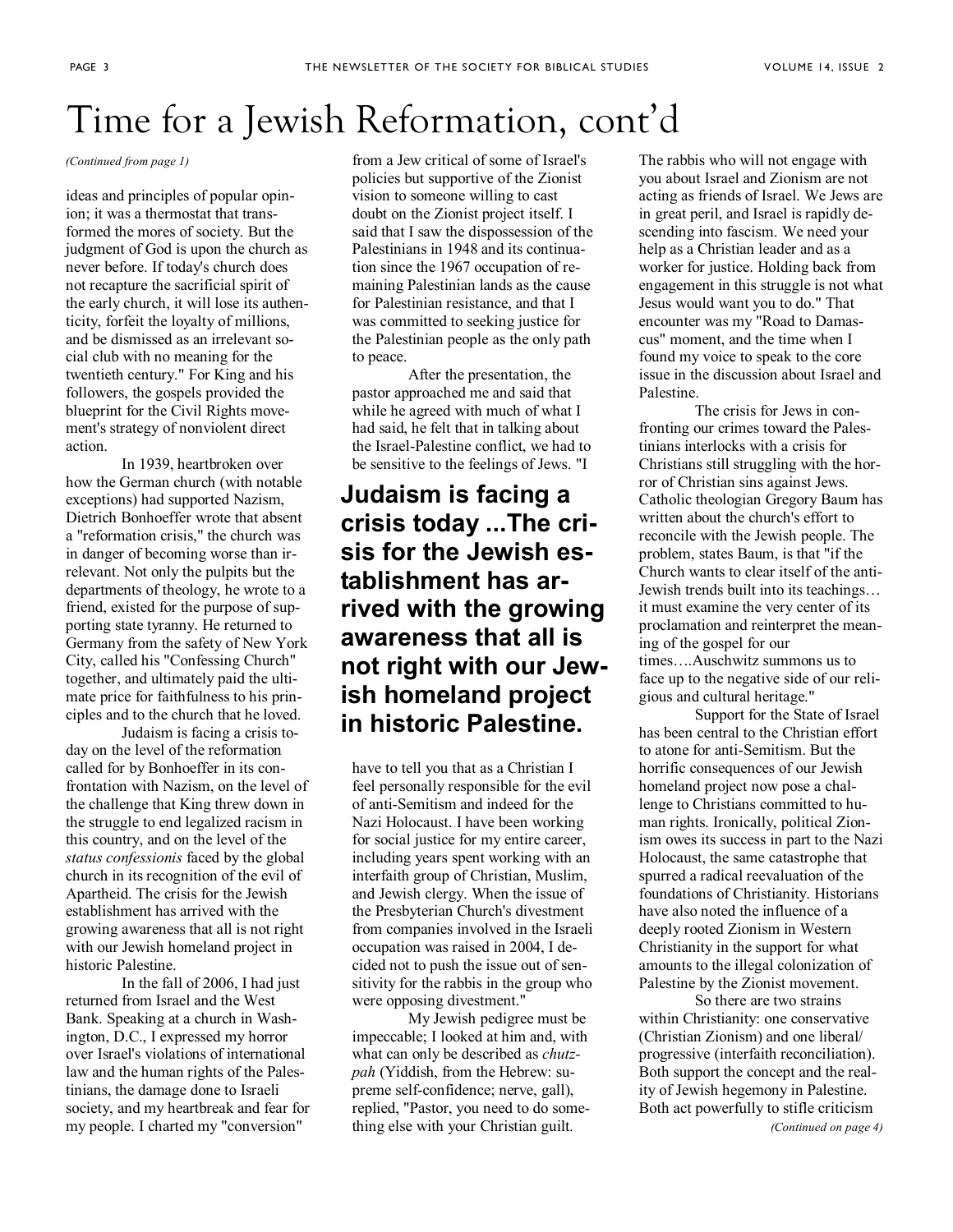# Time for a Jewish Reformation, cont'd

*(Continued from page 1)* 

ideas and principles of popular opinion; it was a thermostat that transformed the mores of society. But the judgment of God is upon the church as never before. If today's church does not recapture the sacrificial spirit of the early church, it will lose its authenticity, forfeit the loyalty of millions, and be dismissed as an irrelevant social club with no meaning for the twentieth century." For King and his followers, the gospels provided the blueprint for the Civil Rights movement's strategy of nonviolent direct action.

 In 1939, heartbroken over how the German church (with notable exceptions) had supported Nazism, Dietrich Bonhoeffer wrote that absent a "reformation crisis," the church was in danger of becoming worse than irrelevant. Not only the pulpits but the departments of theology, he wrote to a friend, existed for the purpose of supporting state tyranny. He returned to Germany from the safety of New York City, called his "Confessing Church" together, and ultimately paid the ultimate price for faithfulness to his principles and to the church that he loved.

 Judaism is facing a crisis today on the level of the reformation called for by Bonhoeffer in its confrontation with Nazism, on the level of the challenge that King threw down in the struggle to end legalized racism in this country, and on the level of the *status confessionis* faced by the global church in its recognition of the evil of Apartheid. The crisis for the Jewish establishment has arrived with the growing awareness that all is not right with our Jewish homeland project in historic Palestine.

 In the fall of 2006, I had just returned from Israel and the West Bank. Speaking at a church in Washington, D.C., I expressed my horror over Israel's violations of international law and the human rights of the Palestinians, the damage done to Israeli society, and my heartbreak and fear for my people. I charted my "conversion"

from a Jew critical of some of Israel's policies but supportive of the Zionist vision to someone willing to cast doubt on the Zionist project itself. I said that I saw the dispossession of the Palestinians in 1948 and its continuation since the 1967 occupation of remaining Palestinian lands as the cause for Palestinian resistance, and that I was committed to seeking justice for the Palestinian people as the only path to peace.

 After the presentation, the pastor approached me and said that while he agreed with much of what I had said, he felt that in talking about the Israel-Palestine conflict, we had to be sensitive to the feelings of Jews. "I

## **Judaism is facing a crisis today ...The crisis for the Jewish establishment has arrived with the growing awareness that all is not right with our Jewish homeland project in historic Palestine.**

have to tell you that as a Christian I feel personally responsible for the evil of anti-Semitism and indeed for the Nazi Holocaust. I have been working for social justice for my entire career, including years spent working with an interfaith group of Christian, Muslim, and Jewish clergy. When the issue of the Presbyterian Church's divestment from companies involved in the Israeli occupation was raised in 2004, I decided not to push the issue out of sensitivity for the rabbis in the group who were opposing divestment."

 My Jewish pedigree must be impeccable; I looked at him and, with what can only be described as *chutzpah* (Yiddish, from the Hebrew: supreme self-confidence; nerve, gall), replied, "Pastor, you need to do something else with your Christian guilt.

The rabbis who will not engage with you about Israel and Zionism are not acting as friends of Israel. We Jews are in great peril, and Israel is rapidly descending into fascism. We need your help as a Christian leader and as a worker for justice. Holding back from engagement in this struggle is not what Jesus would want you to do." That encounter was my "Road to Damascus" moment, and the time when I found my voice to speak to the core issue in the discussion about Israel and Palestine.

 The crisis for Jews in confronting our crimes toward the Palestinians interlocks with a crisis for Christians still struggling with the horror of Christian sins against Jews. Catholic theologian Gregory Baum has written about the church's effort to reconcile with the Jewish people. The problem, states Baum, is that "if the Church wants to clear itself of the anti-Jewish trends built into its teachings… it must examine the very center of its proclamation and reinterpret the meaning of the gospel for our times….Auschwitz summons us to face up to the negative side of our religious and cultural heritage."

 Support for the State of Israel has been central to the Christian effort to atone for anti-Semitism. But the horrific consequences of our Jewish homeland project now pose a challenge to Christians committed to human rights. Ironically, political Zionism owes its success in part to the Nazi Holocaust, the same catastrophe that spurred a radical reevaluation of the foundations of Christianity. Historians have also noted the influence of a deeply rooted Zionism in Western Christianity in the support for what amounts to the illegal colonization of Palestine by the Zionist movement.

 So there are two strains within Christianity: one conservative (Christian Zionism) and one liberal/ progressive (interfaith reconciliation). Both support the concept and the reality of Jewish hegemony in Palestine. Both act powerfully to stifle criticism *(Continued on page 4)*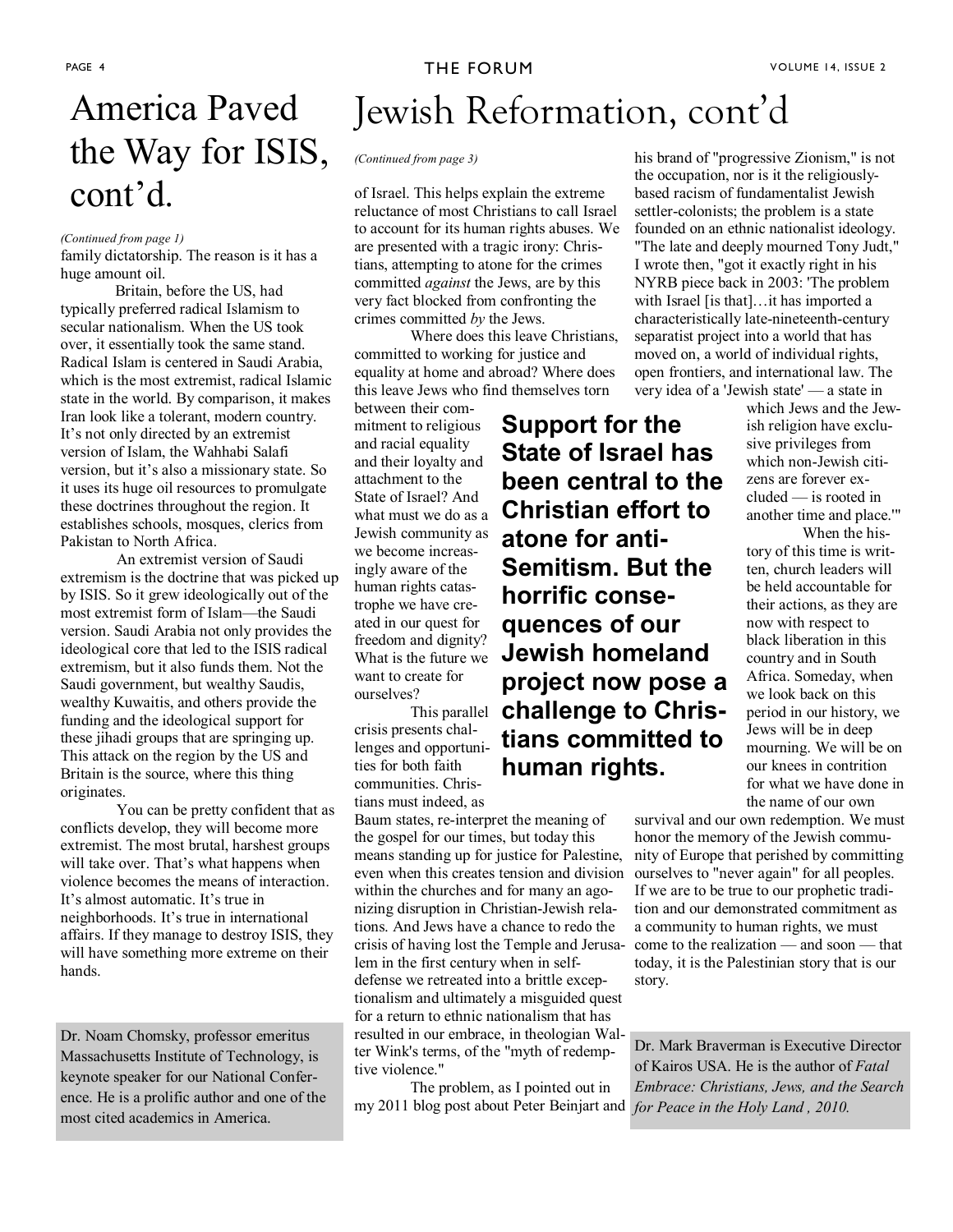### PAGE 4 **THE FORUM THE FORUM VOLUME 14, ISSUE 2**

# the Way for ISIS, cont'd.

#### *(Continued from page 1)*

family dictatorship. The reason is it has a huge amount oil.

 Britain, before the US, had typically preferred radical Islamism to secular nationalism. When the US took over, it essentially took the same stand. Radical Islam is centered in Saudi Arabia, which is the most extremist, radical Islamic state in the world. By comparison, it makes Iran look like a tolerant, modern country. It's not only directed by an extremist version of Islam, the Wahhabi Salafi version, but it's also a missionary state. So it uses its huge oil resources to promulgate these doctrines throughout the region. It establishes schools, mosques, clerics from Pakistan to North Africa.

An extremist version of Saudi extremism is the doctrine that was picked up by ISIS. So it grew ideologically out of the most extremist form of Islam—the Saudi version. Saudi Arabia not only provides the ideological core that led to the ISIS radical extremism, but it also funds them. Not the Saudi government, but wealthy Saudis, wealthy Kuwaitis, and others provide the funding and the ideological support for these jihadi groups that are springing up. This attack on the region by the US and Britain is the source, where this thing originates.

You can be pretty confident that as conflicts develop, they will become more extremist. The most brutal, harshest groups will take over. That's what happens when violence becomes the means of interaction. It's almost automatic. It's true in neighborhoods. It's true in international affairs. If they manage to destroy ISIS, they will have something more extreme on their hands.

Dr. Noam Chomsky, professor emeritus Massachusetts Institute of Technology, is keynote speaker for our National Conference. He is a prolific author and one of the most cited academics in America.

# America Paved Jewish Reformation, cont'd

#### *(Continued from page 3)*

of Israel. This helps explain the extreme reluctance of most Christians to call Israel to account for its human rights abuses. We are presented with a tragic irony: Christians, attempting to atone for the crimes committed *against* the Jews, are by this very fact blocked from confronting the crimes committed *by* the Jews.

 Where does this leave Christians, committed to working for justice and equality at home and abroad? Where does this leave Jews who find themselves torn

between their commitment to religious and racial equality and their loyalty and attachment to the State of Israel? And what must we do as a Jewish community as we become increasingly aware of the human rights catastrophe we have created in our quest for freedom and dignity? want to create for ourselves?

crisis presents challenges and opportunities for both faith communities. Christians must indeed, as

Baum states, re-interpret the meaning of the gospel for our times, but today this means standing up for justice for Palestine, even when this creates tension and division within the churches and for many an agonizing disruption in Christian-Jewish relations. And Jews have a chance to redo the crisis of having lost the Temple and Jerusalem in the first century when in selfdefense we retreated into a brittle exceptionalism and ultimately a misguided quest for a return to ethnic nationalism that has resulted in our embrace, in theologian Walter Wink's terms, of the "myth of redemptive violence."

 The problem, as I pointed out in my 2011 blog post about Peter Beinjart and *for Peace in the Holy Land , 2010.* 

What is the future we **Jewish homeland**  This parallel **challenge to Chris-Support for the State of Israel has been central to the Christian effort to atone for anti-Semitism. But the horrific consequences of our project now pose a tians committed to human rights.** 

his brand of "progressive Zionism," is not the occupation, nor is it the religiouslybased racism of fundamentalist Jewish settler-colonists; the problem is a state founded on an ethnic nationalist ideology. "The late and deeply mourned Tony Judt," I wrote then, "got it exactly right in his NYRB piece back in 2003: 'The problem with Israel [is that]…it has imported a characteristically late-nineteenth-century separatist project into a world that has moved on, a world of individual rights, open frontiers, and international law. The very idea of a 'Jewish state' — a state in

which Jews and the Jewish religion have exclusive privileges from which non-Jewish citizens are forever excluded — is rooted in another time and place.'" When the his-

tory of this time is written, church leaders will be held accountable for their actions, as they are now with respect to black liberation in this country and in South Africa. Someday, when we look back on this period in our history, we Jews will be in deep mourning. We will be on our knees in contrition for what we have done in the name of our own

survival and our own redemption. We must honor the memory of the Jewish community of Europe that perished by committing ourselves to "never again" for all peoples. If we are to be true to our prophetic tradition and our demonstrated commitment as a community to human rights, we must come to the realization — and soon — that today, it is the Palestinian story that is our story.

Dr. Mark Braverman is Executive Director of Kairos USA. He is the author of *Fatal Embrace: Christians, Jews, and the Search*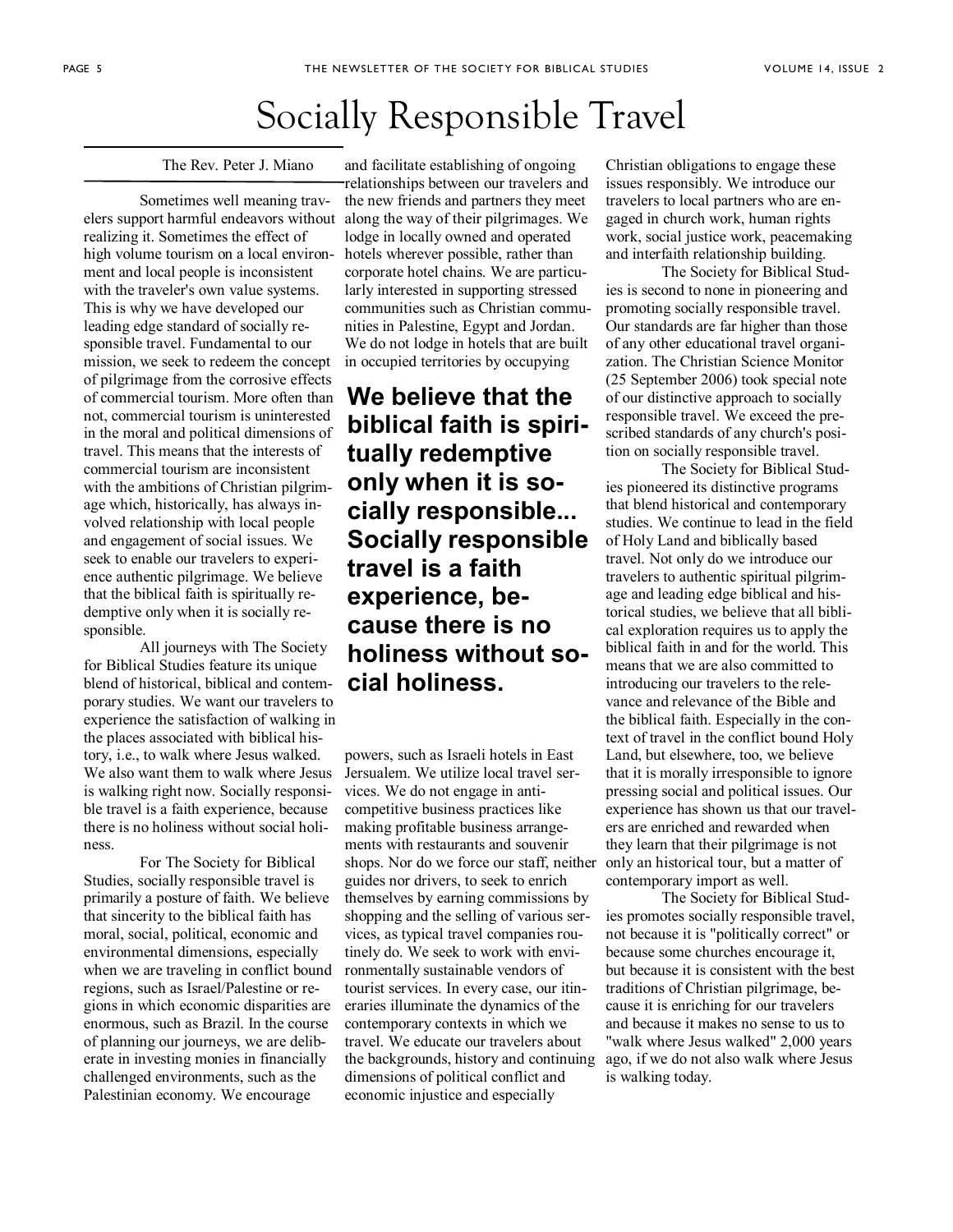# Socially Responsible Travel

The Rev. Peter J. Miano

 Sometimes well meaning travelers support harmful endeavors without realizing it. Sometimes the effect of high volume tourism on a local environment and local people is inconsistent with the traveler's own value systems. This is why we have developed our leading edge standard of socially responsible travel. Fundamental to our mission, we seek to redeem the concept of pilgrimage from the corrosive effects of commercial tourism. More often than not, commercial tourism is uninterested in the moral and political dimensions of travel. This means that the interests of commercial tourism are inconsistent with the ambitions of Christian pilgrimage which, historically, has always involved relationship with local people and engagement of social issues. We seek to enable our travelers to experience authentic pilgrimage. We believe that the biblical faith is spiritually redemptive only when it is socially responsible.

 All journeys with The Society for Biblical Studies feature its unique blend of historical, biblical and contemporary studies. We want our travelers to experience the satisfaction of walking in the places associated with biblical history, i.e., to walk where Jesus walked. We also want them to walk where Jesus is walking right now. Socially responsible travel is a faith experience, because there is no holiness without social holiness.

 For The Society for Biblical Studies, socially responsible travel is primarily a posture of faith. We believe that sincerity to the biblical faith has moral, social, political, economic and environmental dimensions, especially when we are traveling in conflict bound regions, such as Israel/Palestine or regions in which economic disparities are enormous, such as Brazil. In the course of planning our journeys, we are deliberate in investing monies in financially challenged environments, such as the Palestinian economy. We encourage

and facilitate establishing of ongoing relationships between our travelers and the new friends and partners they meet along the way of their pilgrimages. We lodge in locally owned and operated hotels wherever possible, rather than corporate hotel chains. We are particularly interested in supporting stressed communities such as Christian communities in Palestine, Egypt and Jordan. We do not lodge in hotels that are built in occupied territories by occupying

## **We believe that the biblical faith is spiritually redemptive only when it is socially responsible... Socially responsible travel is a faith experience, because there is no holiness without social holiness.**

powers, such as Israeli hotels in East Jersualem. We utilize local travel services. We do not engage in anticompetitive business practices like making profitable business arrangements with restaurants and souvenir shops. Nor do we force our staff, neither guides nor drivers, to seek to enrich themselves by earning commissions by shopping and the selling of various services, as typical travel companies routinely do. We seek to work with environmentally sustainable vendors of tourist services. In every case, our itineraries illuminate the dynamics of the contemporary contexts in which we travel. We educate our travelers about the backgrounds, history and continuing dimensions of political conflict and economic injustice and especially

Christian obligations to engage these issues responsibly. We introduce our travelers to local partners who are engaged in church work, human rights work, social justice work, peacemaking and interfaith relationship building.

 The Society for Biblical Studies is second to none in pioneering and promoting socially responsible travel. Our standards are far higher than those of any other educational travel organization. The Christian Science Monitor (25 September 2006) took special note of our distinctive approach to socially responsible travel. We exceed the prescribed standards of any church's position on socially responsible travel.

 The Society for Biblical Studies pioneered its distinctive programs that blend historical and contemporary studies. We continue to lead in the field of Holy Land and biblically based travel. Not only do we introduce our travelers to authentic spiritual pilgrimage and leading edge biblical and historical studies, we believe that all biblical exploration requires us to apply the biblical faith in and for the world. This means that we are also committed to introducing our travelers to the relevance and relevance of the Bible and the biblical faith. Especially in the context of travel in the conflict bound Holy Land, but elsewhere, too, we believe that it is morally irresponsible to ignore pressing social and political issues. Our experience has shown us that our travelers are enriched and rewarded when they learn that their pilgrimage is not only an historical tour, but a matter of contemporary import as well.

 The Society for Biblical Studies promotes socially responsible travel, not because it is "politically correct" or because some churches encourage it, but because it is consistent with the best traditions of Christian pilgrimage, because it is enriching for our travelers and because it makes no sense to us to "walk where Jesus walked" 2,000 years ago, if we do not also walk where Jesus is walking today.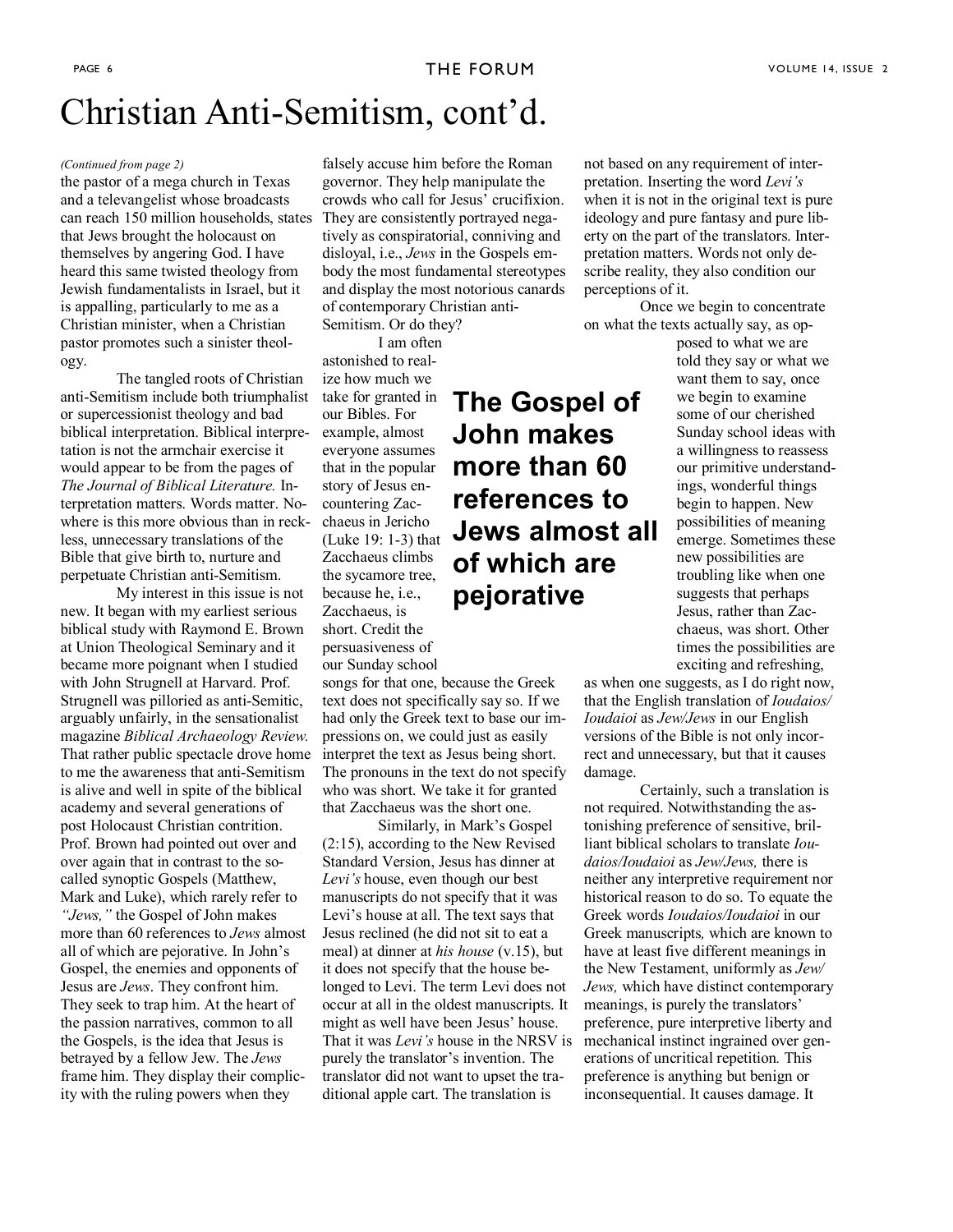**The Gospel of** 

**John makes** 

**more than 60** 

**references to** 

**of which are** 

**pejorative** 

**Jews almost all** 

## Christian Anti-Semitism, cont'd.

#### *(Continued from page 2)*

the pastor of a mega church in Texas and a televangelist whose broadcasts can reach 150 million households, states They are consistently portrayed negathat Jews brought the holocaust on themselves by angering God. I have heard this same twisted theology from Jewish fundamentalists in Israel, but it is appalling, particularly to me as a Christian minister, when a Christian pastor promotes such a sinister theology.

The tangled roots of Christian anti-Semitism include both triumphalist or supercessionist theology and bad biblical interpretation. Biblical interpretation is not the armchair exercise it would appear to be from the pages of *The Journal of Biblical Literature.* Interpretation matters. Words matter. Nowhere is this more obvious than in reckless, unnecessary translations of the Bible that give birth to, nurture and perpetuate Christian anti-Semitism.

My interest in this issue is not new. It began with my earliest serious biblical study with Raymond E. Brown at Union Theological Seminary and it became more poignant when I studied with John Strugnell at Harvard. Prof. Strugnell was pilloried as anti-Semitic, arguably unfairly, in the sensationalist magazine *Biblical Archaeology Review.*  That rather public spectacle drove home to me the awareness that anti-Semitism is alive and well in spite of the biblical academy and several generations of post Holocaust Christian contrition. Prof. Brown had pointed out over and over again that in contrast to the socalled synoptic Gospels (Matthew, Mark and Luke), which rarely refer to *"Jews,"* the Gospel of John makes more than 60 references to *Jews* almost all of which are pejorative. In John's Gospel, the enemies and opponents of Jesus are *Jews*. They confront him. They seek to trap him. At the heart of the passion narratives, common to all the Gospels, is the idea that Jesus is betrayed by a fellow Jew. The *Jews* frame him. They display their complicity with the ruling powers when they

falsely accuse him before the Roman governor. They help manipulate the crowds who call for Jesus' crucifixion. tively as conspiratorial, conniving and disloyal, i.e., *Jews* in the Gospels embody the most fundamental stereotypes and display the most notorious canards of contemporary Christian anti-

Semitism. Or do they? I am often

astonished to realize how much we take for granted in our Bibles. For example, almost everyone assumes that in the popular story of Jesus encountering Zacchaeus in Jericho (Luke 19: 1-3) that Zacchaeus climbs the sycamore tree, because he, i.e., Zacchaeus, is short. Credit the persuasiveness of our Sunday school

songs for that one, because the Greek text does not specifically say so. If we had only the Greek text to base our impressions on, we could just as easily interpret the text as Jesus being short. The pronouns in the text do not specify who was short. We take it for granted that Zacchaeus was the short one.

Similarly, in Mark's Gospel (2:15), according to the New Revised Standard Version, Jesus has dinner at *Levi's* house, even though our best manuscripts do not specify that it was Levi's house at all. The text says that Jesus reclined (he did not sit to eat a meal) at dinner at *his house* (v.15), but it does not specify that the house belonged to Levi. The term Levi does not occur at all in the oldest manuscripts. It might as well have been Jesus' house. That it was *Levi's* house in the NRSV is purely the translator's invention. The translator did not want to upset the traditional apple cart. The translation is

not based on any requirement of interpretation. Inserting the word *Levi's*  when it is not in the original text is pure ideology and pure fantasy and pure liberty on the part of the translators. Interpretation matters. Words not only describe reality, they also condition our perceptions of it.

Once we begin to concentrate on what the texts actually say, as op-

posed to what we are told they say or what we want them to say, once we begin to examine some of our cherished Sunday school ideas with a willingness to reassess our primitive understandings, wonderful things begin to happen. New possibilities of meaning emerge. Sometimes these new possibilities are troubling like when one suggests that perhaps Jesus, rather than Zacchaeus, was short. Other times the possibilities are exciting and refreshing,

as when one suggests, as I do right now, that the English translation of *Ioudaios/ Ioudaioi* as *Jew/Jews* in our English versions of the Bible is not only incorrect and unnecessary, but that it causes damage.

Certainly, such a translation is not required. Notwithstanding the astonishing preference of sensitive, brilliant biblical scholars to translate *Ioudaios/Ioudaioi* as *Jew/Jews,* there is neither any interpretive requirement nor historical reason to do so. To equate the Greek words *Ioudaios/Ioudaioi* in our Greek manuscripts*,* which are known to have at least five different meanings in the New Testament, uniformly as *Jew/ Jews,* which have distinct contemporary meanings, is purely the translators' preference, pure interpretive liberty and mechanical instinct ingrained over generations of uncritical repetition*.* This preference is anything but benign or inconsequential. It causes damage. It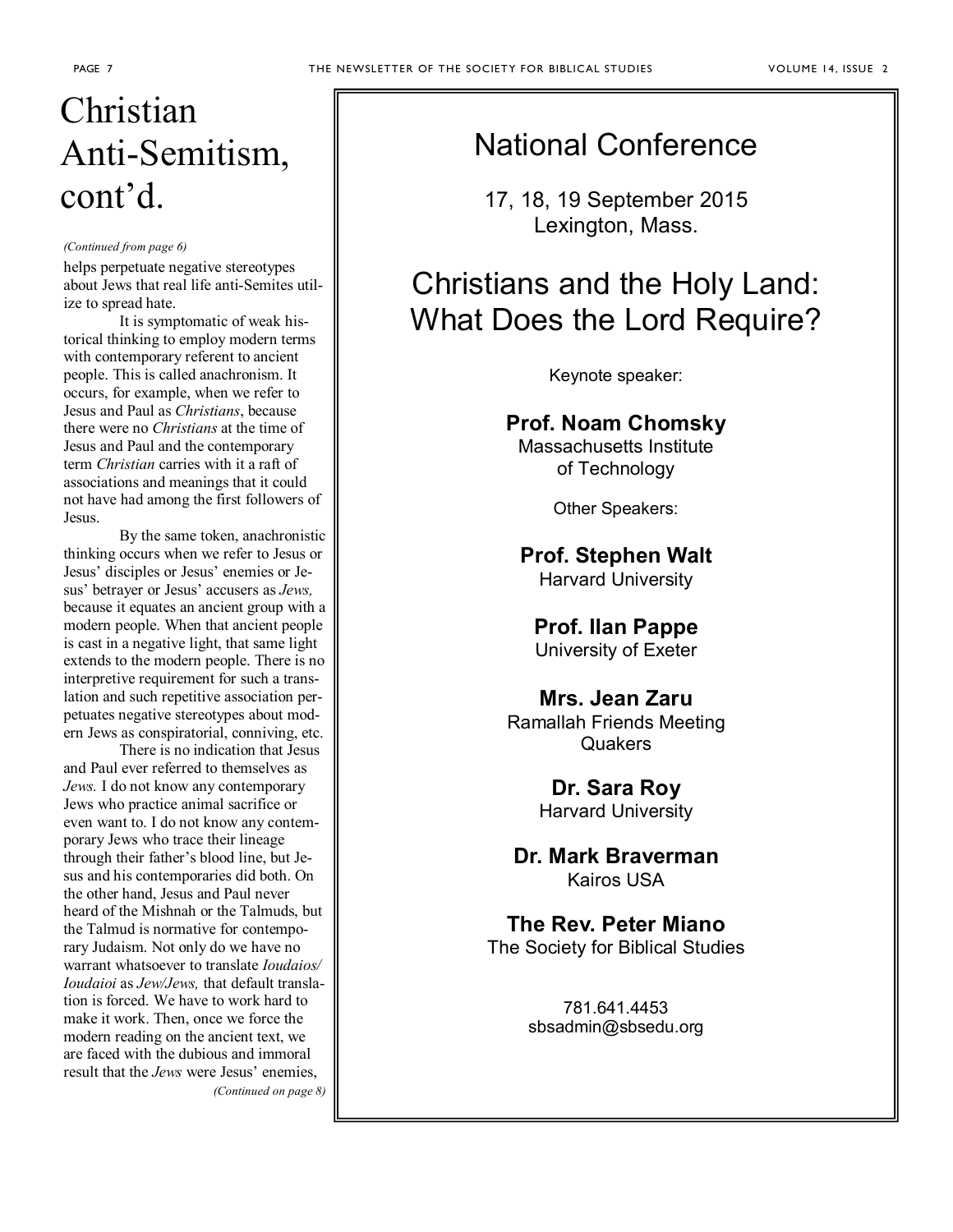# Christian Anti-Semitism, cont'd.

#### *(Continued from page 6)*

helps perpetuate negative stereotypes about Jews that real life anti-Semites utilize to spread hate.

It is symptomatic of weak historical thinking to employ modern terms with contemporary referent to ancient people. This is called anachronism. It occurs, for example, when we refer to Jesus and Paul as *Christians*, because there were no *Christians* at the time of Jesus and Paul and the contemporary term *Christian* carries with it a raft of associations and meanings that it could not have had among the first followers of Jesus.

By the same token, anachronistic thinking occurs when we refer to Jesus or Jesus' disciples or Jesus' enemies or Jesus' betrayer or Jesus' accusers as *Jews,*  because it equates an ancient group with a modern people. When that ancient people is cast in a negative light, that same light extends to the modern people. There is no interpretive requirement for such a translation and such repetitive association perpetuates negative stereotypes about modern Jews as conspiratorial, conniving, etc.

 There is no indication that Jesus and Paul ever referred to themselves as *Jews.* I do not know any contemporary Jews who practice animal sacrifice or even want to. I do not know any contemporary Jews who trace their lineage through their father's blood line, but Jesus and his contemporaries did both. On the other hand, Jesus and Paul never heard of the Mishnah or the Talmuds, but the Talmud is normative for contemporary Judaism. Not only do we have no warrant whatsoever to translate *Ioudaios/ Ioudaioi* as *Jew/Jews,* that default translation is forced. We have to work hard to make it work. Then, once we force the modern reading on the ancient text, we are faced with the dubious and immoral result that the *Jews* were Jesus' enemies, *(Continued on page 8)*  National Conference

17, 18, 19 September 2015 Lexington, Mass.

## Christians and the Holy Land: What Does the Lord Require?

Keynote speaker:

## **Prof. Noam Chomsky**

Massachusetts Institute of Technology

Other Speakers:

**Prof. Stephen Walt**

Harvard University

### **Prof. Ilan Pappe**

University of Exeter

## **Mrs. Jean Zaru**

Ramallah Friends Meeting **Quakers** 

> **Dr. Sara Roy**  Harvard University

**Dr. Mark Braverman**  Kairos USA

**The Rev. Peter Miano**  The Society for Biblical Studies

> 781.641.4453 sbsadmin@sbsedu.org